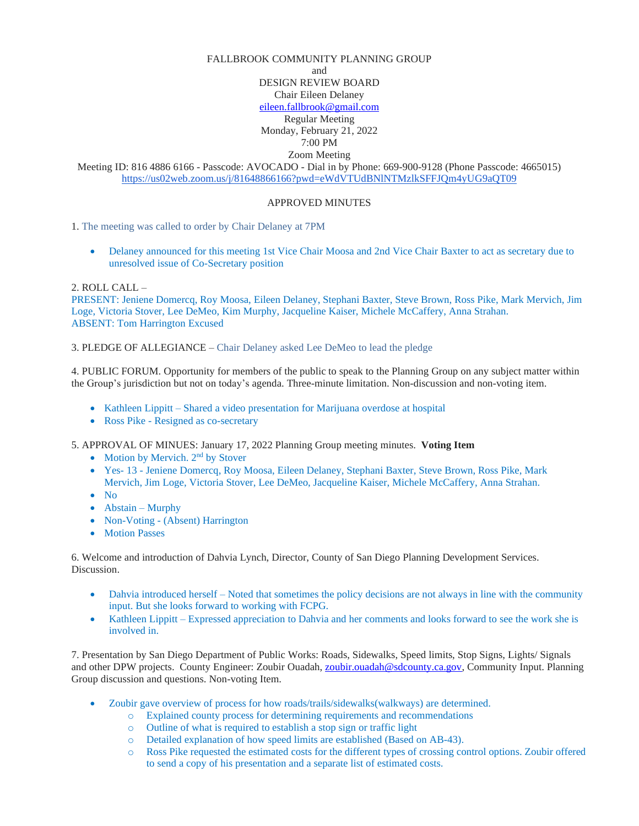# FALLBROOK COMMUNITY PLANNING GROUP and DESIGN REVIEW BOARD Chair Eileen Delaney [eileen.fallbrook@gmail.com](mailto:eileen.fallbrook@gmail.com) Regular Meeting Monday, February 21, 2022 7:00 PM Zoom Meeting

Meeting ID: 816 4886 6166 - Passcode: AVOCADO - Dial in by Phone: 669-900-9128 (Phone Passcode: 4665015) <https://us02web.zoom.us/j/81648866166?pwd=eWdVTUdBNlNTMzlkSFFJQm4yUG9aQT09>

## APPROVED MINUTES

1. The meeting was called to order by Chair Delaney at 7PM

• Delaney announced for this meeting 1st Vice Chair Moosa and 2nd Vice Chair Baxter to act as secretary due to unresolved issue of Co-Secretary position

## 2. ROLL CALL –

PRESENT: Jeniene Domercq, Roy Moosa, Eileen Delaney, Stephani Baxter, Steve Brown, Ross Pike, Mark Mervich, Jim Loge, Victoria Stover, Lee DeMeo, Kim Murphy, Jacqueline Kaiser, Michele McCaffery, Anna Strahan. ABSENT: Tom Harrington Excused

#### 3. PLEDGE OF ALLEGIANCE – Chair Delaney asked Lee DeMeo to lead the pledge

4. PUBLIC FORUM. Opportunity for members of the public to speak to the Planning Group on any subject matter within the Group's jurisdiction but not on today's agenda. Three-minute limitation. Non-discussion and non-voting item.

- Kathleen Lippitt Shared a video presentation for Marijuana overdose at hospital
- Ross Pike Resigned as co-secretary

5. APPROVAL OF MINUES: January 17, 2022 Planning Group meeting minutes. **Voting Item**

- Motion by Mervich. 2<sup>nd</sup> by Stover
- Yes- 13 Jeniene Domercq, Roy Moosa, Eileen Delaney, Stephani Baxter, Steve Brown, Ross Pike, Mark Mervich, Jim Loge, Victoria Stover, Lee DeMeo, Jacqueline Kaiser, Michele McCaffery, Anna Strahan.
- No
- Abstain Murphy
- Non-Voting (Absent) Harrington
- Motion Passes

6. Welcome and introduction of Dahvia Lynch, Director, County of San Diego Planning Development Services. Discussion.

- Dahvia introduced herself Noted that sometimes the policy decisions are not always in line with the community input. But she looks forward to working with FCPG.
- Kathleen Lippitt Expressed appreciation to Dahvia and her comments and looks forward to see the work she is involved in.

7. Presentation by San Diego Department of Public Works: Roads, Sidewalks, Speed limits, Stop Signs, Lights/ Signals and other DPW projects. County Engineer: Zoubir Ouadah, [zoubir.ouadah@sdcounty.ca.gov,](mailto:zoubir.ouadah@sdcounty.ca.gov) Community Input. Planning Group discussion and questions. Non-voting Item.

- Zoubir gave overview of process for how roads/trails/sidewalks(walkways) are determined.
	- o Explained county process for determining requirements and recommendations
	- o Outline of what is required to establish a stop sign or traffic light
	- o Detailed explanation of how speed limits are established (Based on AB-43).
	- o Ross Pike requested the estimated costs for the different types of crossing control options. Zoubir offered to send a copy of his presentation and a separate list of estimated costs.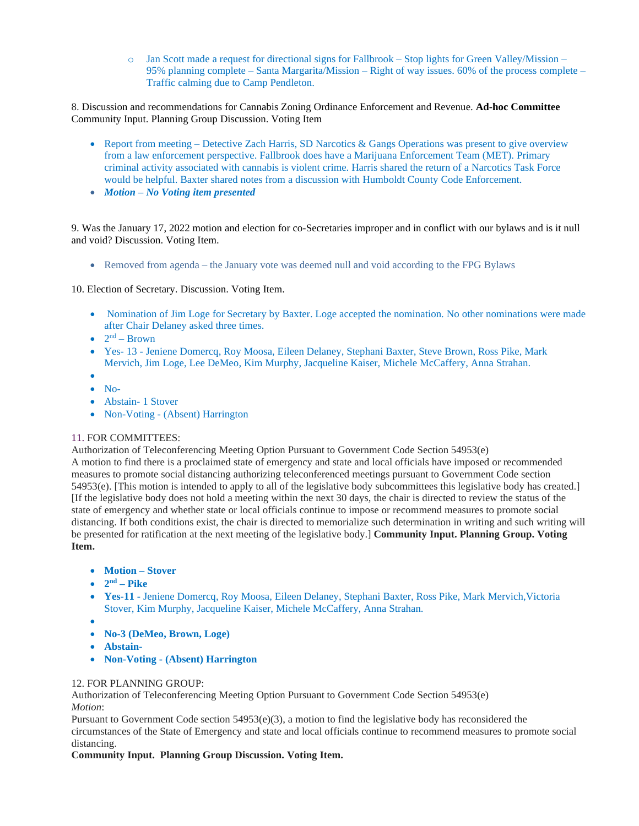$\circ$  Jan Scott made a request for directional signs for Fallbrook – Stop lights for Green Valley/Mission – 95% planning complete – Santa Margarita/Mission – Right of way issues. 60% of the process complete – Traffic calming due to Camp Pendleton.

8. Discussion and recommendations for Cannabis Zoning Ordinance Enforcement and Revenue. **Ad-hoc Committee** Community Input. Planning Group Discussion. Voting Item

- Report from meeting Detective Zach Harris, SD Narcotics & Gangs Operations was present to give overview from a law enforcement perspective. Fallbrook does have a Marijuana Enforcement Team (MET). Primary criminal activity associated with cannabis is violent crime. Harris shared the return of a Narcotics Task Force would be helpful. Baxter shared notes from a discussion with Humboldt County Code Enforcement.
- *Motion – No Voting item presented*

9. Was the January 17, 2022 motion and election for co-Secretaries improper and in conflict with our bylaws and is it null and void? Discussion. Voting Item.

• Removed from agenda – the January vote was deemed null and void according to the FPG Bylaws

10. Election of Secretary. Discussion. Voting Item.

- Nomination of Jim Loge for Secretary by Baxter. Loge accepted the nomination. No other nominations were made after Chair Delaney asked three times.
- $2<sup>nd</sup>$  Brown
- Yes- 13 Jeniene Domercq, Roy Moosa, Eileen Delaney, Stephani Baxter, Steve Brown, Ross Pike, Mark Mervich, Jim Loge, Lee DeMeo, Kim Murphy, Jacqueline Kaiser, Michele McCaffery, Anna Strahan.
- • No-
- Abstain- 1 Stover
- Non-Voting (Absent) Harrington

#### 11. FOR COMMITTEES:

Authorization of Teleconferencing Meeting Option Pursuant to Government Code Section 54953(e)

A motion to find there is a proclaimed state of emergency and state and local officials have imposed or recommended measures to promote social distancing authorizing teleconferenced meetings pursuant to Government Code section 54953(e). [This motion is intended to apply to all of the legislative body subcommittees this legislative body has created.] [If the legislative body does not hold a meeting within the next 30 days, the chair is directed to review the status of the state of emergency and whether state or local officials continue to impose or recommend measures to promote social distancing. If both conditions exist, the chair is directed to memorialize such determination in writing and such writing will be presented for ratification at the next meeting of the legislative body.] **Community Input. Planning Group. Voting Item.**

- **Motion – Stover**
- $2<sup>nd</sup>$  **Pike**
- **Yes-11 -** Jeniene Domercq, Roy Moosa, Eileen Delaney, Stephani Baxter, Ross Pike, Mark Mervich,Victoria Stover, Kim Murphy, Jacqueline Kaiser, Michele McCaffery, Anna Strahan.
- •
- **No-3 (DeMeo, Brown, Loge)**
- **Abstain-**
- **Non-Voting - (Absent) Harrington**

# 12. FOR PLANNING GROUP:

Authorization of Teleconferencing Meeting Option Pursuant to Government Code Section 54953(e) *Motion*:

Pursuant to Government Code section 54953(e)(3), a motion to find the legislative body has reconsidered the circumstances of the State of Emergency and state and local officials continue to recommend measures to promote social distancing.

#### **Community Input. Planning Group Discussion. Voting Item.**